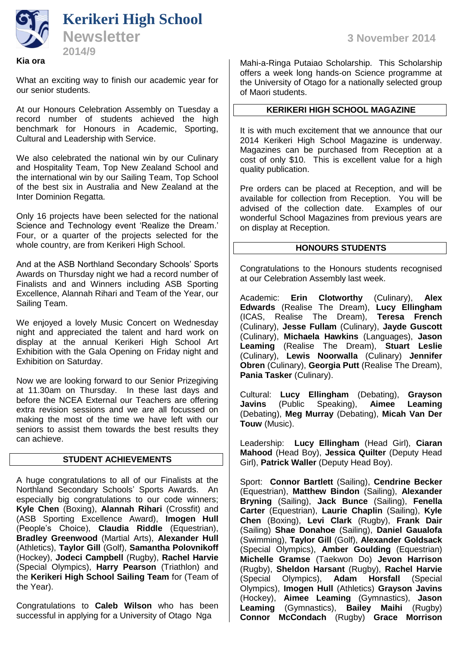

What an exciting way to finish our academic year for our senior students.

At our Honours Celebration Assembly on Tuesday a record number of students achieved the high benchmark for Honours in Academic, Sporting, Cultural and Leadership with Service.

We also celebrated the national win by our Culinary and Hospitality Team, Top New Zealand School and the international win by our Sailing Team, Top School of the best six in Australia and New Zealand at the Inter Dominion Regatta.

Only 16 projects have been selected for the national Science and Technology event 'Realize the Dream.' Four, or a quarter of the projects selected for the whole country, are from Kerikeri High School.

And at the ASB Northland Secondary Schools' Sports Awards on Thursday night we had a record number of Finalists and and Winners including ASB Sporting Excellence, Alannah Rihari and Team of the Year, our Sailing Team.

We enjoyed a lovely Music Concert on Wednesday night and appreciated the talent and hard work on display at the annual Kerikeri High School Art Exhibition with the Gala Opening on Friday night and Exhibition on Saturday.

Now we are looking forward to our Senior Prizegiving at 11.30am on Thursday. In these last days and before the NCEA External our Teachers are offering extra revision sessions and we are all focussed on making the most of the time we have left with our seniors to assist them towards the best results they can achieve.

# **STUDENT ACHIEVEMENTS**

A huge congratulations to all of our Finalists at the Northland Secondary Schools' Sports Awards. An especially big congratulations to our code winners; **Kyle Chen** (Boxing), **Alannah Rihari** (Crossfit) and (ASB Sporting Excellence Award), **Imogen Hull** (People's Choice), **Claudia Riddle** (Equestrian), **Bradley Greenwood** (Martial Arts), **Alexander Hull** (Athletics), **Taylor Gill** (Golf), **Samantha Polovnikoff** (Hockey), **Jodeci Campbell** (Rugby), **Rachel Harvie** (Special Olympics), **Harry Pearson** (Triathlon) and the **Kerikeri High School Sailing Team** for (Team of the Year).

Congratulations to **Caleb Wilson** who has been successful in applying for a University of Otago Nga

Mahi-a-Ringa Putaiao Scholarship. This Scholarship offers a week long hands-on Science programme at the University of Otago for a nationally selected group of Maori students.

## **KERIKERI HIGH SCHOOL MAGAZINE**

It is with much excitement that we announce that our 2014 Kerikeri High School Magazine is underway. Magazines can be purchased from Reception at a cost of only \$10. This is excellent value for a high quality publication.

Pre orders can be placed at Reception, and will be available for collection from Reception. You will be advised of the collection date. Examples of our wonderful School Magazines from previous years are on display at Reception.

#### **HONOURS STUDENTS**

Congratulations to the Honours students recognised at our Celebration Assembly last week.

Academic: **Erin Clotworthy** (Culinary), **Alex Edwards** (Realise The Dream), **Lucy Ellingham** (ICAS, Realise The Dream), **Teresa French** (Culinary), **Jesse Fullam** (Culinary), **Jayde Guscott** (Culinary), **Michaela Hawkins** (Languages), **Jason Leaming** (Realise The Dream), **Stuart Leslie** (Culinary), **Lewis Noorwalla** (Culinary) **Jennifer Obren** (Culinary), **Georgia Putt** (Realise The Dream), **Pania Tasker** (Culinary).

Cultural: **Lucy Ellingham** (Debating), **Grayson Javins** (Public Speaking), **Aimee Leaming** (Debating), **Meg Murray** (Debating), **Micah Van Der Touw** (Music).

Leadership: **Lucy Ellingham** (Head Girl), **Ciaran Mahood** (Head Boy), **Jessica Quilter** (Deputy Head Girl), **Patrick Waller** (Deputy Head Boy).

Sport: **Connor Bartlett** (Sailing), **Cendrine Becker** (Equestrian), **Matthew Bindon** (Sailing), **Alexander Bryning** (Sailing), **Jack Bunce** (Sailing), **Fenella Carter** (Equestrian), **Laurie Chaplin** (Sailing), **Kyle Chen** (Boxing), **Levi Clark** (Rugby), **Frank Dair** (Sailing) **Shae Donahoe** (Sailing), **Daniel Gaualofa** (Swimming), **Taylor Gill** (Golf), **Alexander Goldsack** (Special Olympics), **Amber Goulding** (Equestrian) **Michelle Gramse** (Taekwon Do) **Jevon Harrison** (Rugby), **Sheldon Harsant** (Rugby), **Rachel Harvie** (Special Olympics), **Adam Horsfall** (Special Olympics), **Imogen Hull** (Athletics) **Grayson Javins** (Hockey), **Aimee Leaming** (Gymnastics), **Jason Leaming** (Gymnastics), **Bailey Maihi** (Rugby) **Connor McCondach** (Rugby) **Grace Morrison**